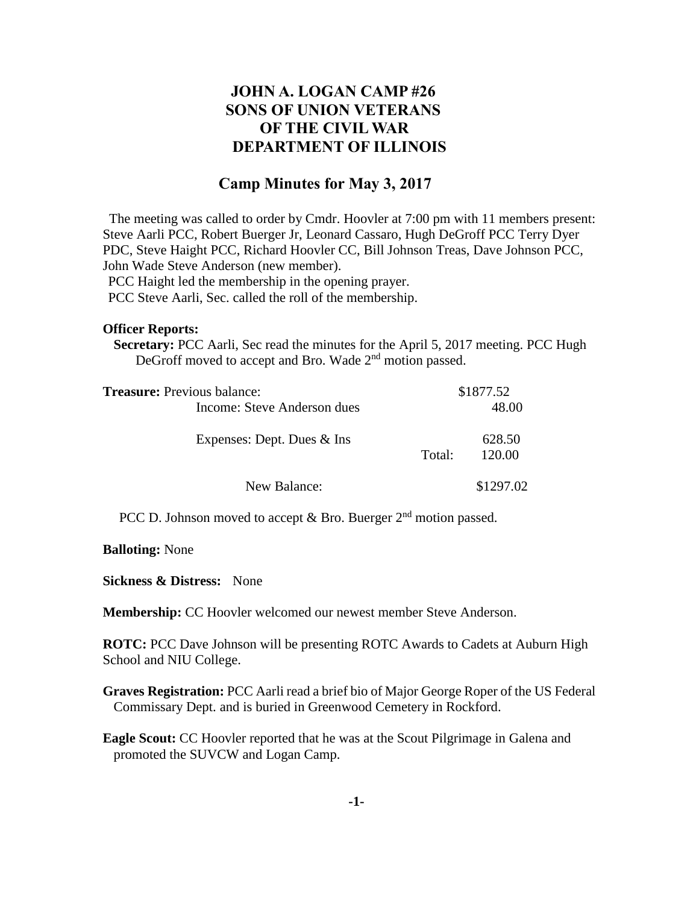# **JOHN A. LOGAN CAMP #26 SONS OF UNION VETERANS OF THE CIVIL WAR DEPARTMENT OF ILLINOIS**

## **Camp Minutes for May 3, 2017**

The meeting was called to order by Cmdr. Hoovler at 7:00 pm with 11 members present: Steve Aarli PCC, Robert Buerger Jr, Leonard Cassaro, Hugh DeGroff PCC Terry Dyer PDC, Steve Haight PCC, Richard Hoovler CC, Bill Johnson Treas, Dave Johnson PCC, John Wade Steve Anderson (new member).

PCC Haight led the membership in the opening prayer.

PCC Steve Aarli, Sec. called the roll of the membership.

#### **Officer Reports:**

 **Secretary:** PCC Aarli, Sec read the minutes for the April 5, 2017 meeting. PCC Hugh DeGroff moved to accept and Bro. Wade 2<sup>nd</sup> motion passed.

| <b>Treasure:</b> Previous balance: | \$1877.52 |                  |
|------------------------------------|-----------|------------------|
| Income: Steve Anderson dues        |           | 48.00            |
| Expenses: Dept. Dues $&$ Ins       | Total:    | 628.50<br>120.00 |
| New Balance:                       |           | \$1297.02        |

PCC D. Johnson moved to accept  $\&$  Bro. Buerger 2<sup>nd</sup> motion passed.

**Balloting:** None

**Sickness & Distress:** None

**Membership:** CC Hoovler welcomed our newest member Steve Anderson.

**ROTC:** PCC Dave Johnson will be presenting ROTC Awards to Cadets at Auburn High School and NIU College.

**Graves Registration:** PCC Aarli read a brief bio of Major George Roper of the US Federal Commissary Dept. and is buried in Greenwood Cemetery in Rockford.

**Eagle Scout:** CC Hoovler reported that he was at the Scout Pilgrimage in Galena and promoted the SUVCW and Logan Camp.